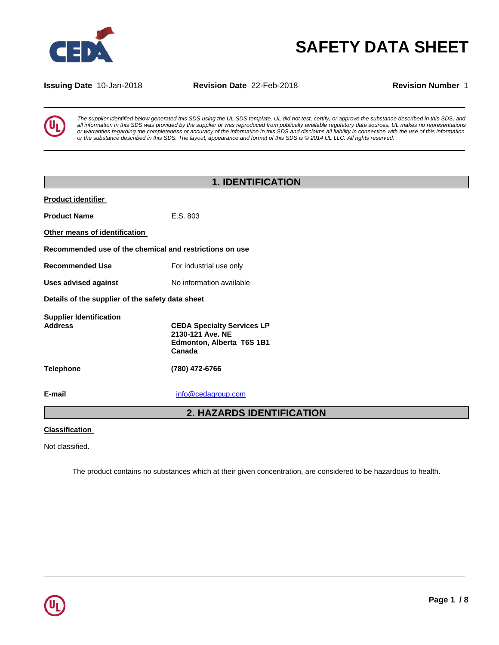

# **SAFETY DATA SHEET**

**Issuing Date** 10-Jan-2018 **Revision Date** 22-Feb-2018 **Revision Number** 1



*The supplier identified below generated this SDS using the UL SDS template. UL did not test, certify, or approve the substance described in this SDS, and all information in this SDS was provided by the supplier or was reproduced from publically available regulatory data sources. UL makes no representations or warranties regarding the completeness or accuracy of the information in this SDS and disclaims all liability in connection with the use of this information or the substance described in this SDS. The layout, appearance and format of this SDS is © 2014 UL LLC. All rights reserved.*

|                                                         | <b>1. IDENTIFICATION</b>                                                                     |
|---------------------------------------------------------|----------------------------------------------------------------------------------------------|
| <b>Product identifier</b>                               |                                                                                              |
| <b>Product Name</b>                                     | E.S. 803                                                                                     |
| Other means of identification                           |                                                                                              |
| Recommended use of the chemical and restrictions on use |                                                                                              |
| <b>Recommended Use</b>                                  | For industrial use only                                                                      |
| <b>Uses advised against</b>                             | No information available                                                                     |
| Details of the supplier of the safety data sheet        |                                                                                              |
| <b>Supplier Identification</b><br><b>Address</b>        | <b>CEDA Specialty Services LP</b><br>2130-121 Ave. NE<br>Edmonton, Alberta T6S 1B1<br>Canada |
| Telephone                                               | (780) 472-6766                                                                               |
| E-mail                                                  | info@cedagroup.com                                                                           |
|                                                         | <b>2. HAZARDS IDENTIFICATION</b>                                                             |
|                                                         |                                                                                              |

#### **Classification**

Not classified.

The product contains no substances which at their given concentration, are considered to be hazardous to health.

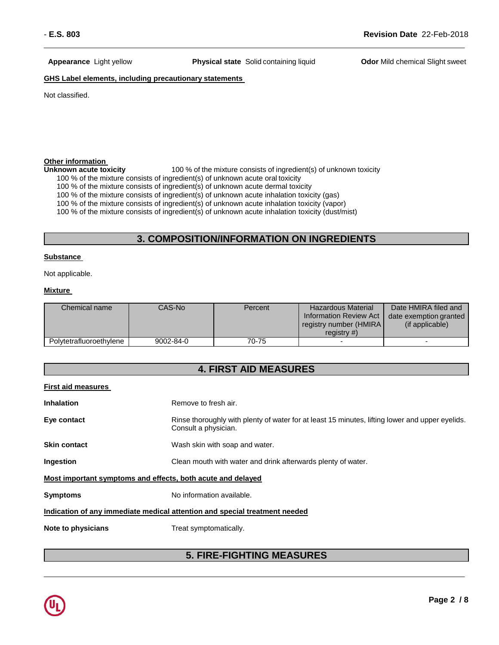**Appearance** Light yellow **Physical state** Solid containing liquid **Odor** Mild chemical Slight sweet

#### **GHS Label elements, including precautionary statements**

Not classified.

# **Other information**<br> **Unknown acute toxicity**

100 % of the mixture consists of ingredient(s) of unknown toxicity

100 % of the mixture consists of ingredient(s) of unknown acute oral toxicity

100 % of the mixture consists of ingredient(s) of unknown acute dermal toxicity

100 % of the mixture consists of ingredient(s) of unknown acute inhalation toxicity (gas)

100 % of the mixture consists of ingredient(s) of unknown acute inhalation toxicity (vapor)

100 % of the mixture consists of ingredient(s) of unknown acute inhalation toxicity (dust/mist)

### **3. COMPOSITION/INFORMATION ON INGREDIENTS**

#### **Substance**

Not applicable.

#### **Mixture**

| Chemical name           | CAS-Nol   | Percent | Hazardous Material      | Date HMIRA filed and   |
|-------------------------|-----------|---------|-------------------------|------------------------|
|                         |           |         | Information Review Act  | date exemption granted |
|                         |           |         | registry number (HMIRA) | (if applicable)        |
|                         |           |         | registry $#$ )          |                        |
| Polytetrafluoroethylene | 9002-84-0 | 70-75   |                         |                        |

| <b>First aid measures</b>                                                  |                                                                                                                         |  |
|----------------------------------------------------------------------------|-------------------------------------------------------------------------------------------------------------------------|--|
| <b>Inhalation</b>                                                          | Remove to fresh air.                                                                                                    |  |
| Eye contact                                                                | Rinse thoroughly with plenty of water for at least 15 minutes, lifting lower and upper eyelids.<br>Consult a physician. |  |
| <b>Skin contact</b>                                                        | Wash skin with soap and water.                                                                                          |  |
| Ingestion                                                                  | Clean mouth with water and drink afterwards plenty of water.                                                            |  |
| Most important symptoms and effects, both acute and delayed                |                                                                                                                         |  |
| <b>Symptoms</b>                                                            | No information available.                                                                                               |  |
| Indication of any immediate medical attention and special treatment needed |                                                                                                                         |  |
| Note to physicians                                                         | Treat symptomatically.                                                                                                  |  |

### **5. FIRE-FIGHTING MEASURES**

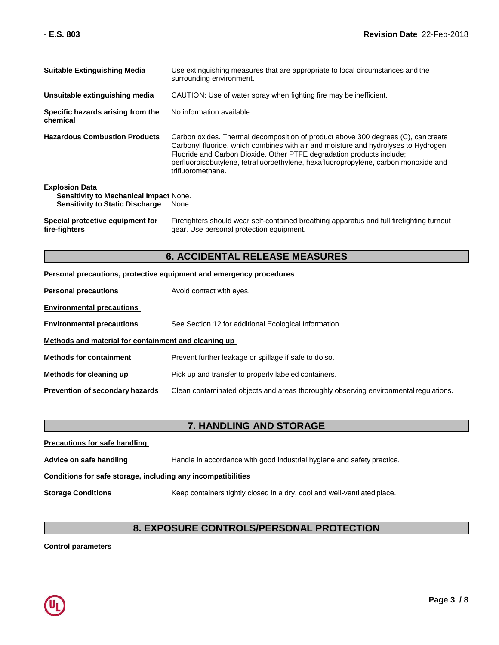| <b>Suitable Extinguishing Media</b>                                                                              | Use extinguishing measures that are appropriate to local circumstances and the<br>surrounding environment.                                                                                                                                                                                                                                                   |
|------------------------------------------------------------------------------------------------------------------|--------------------------------------------------------------------------------------------------------------------------------------------------------------------------------------------------------------------------------------------------------------------------------------------------------------------------------------------------------------|
| Unsuitable extinguishing media                                                                                   | CAUTION: Use of water spray when fighting fire may be inefficient.                                                                                                                                                                                                                                                                                           |
| Specific hazards arising from the<br>chemical                                                                    | No information available.                                                                                                                                                                                                                                                                                                                                    |
| <b>Hazardous Combustion Products</b>                                                                             | Carbon oxides. Thermal decomposition of product above 300 degrees (C), can create<br>Carbonyl fluoride, which combines with air and moisture and hydrolyses to Hydrogen<br>Fluoride and Carbon Dioxide. Other PTFE degradation products include;<br>perfluoroisobutylene, tetrafluoroethylene, hexafluoropropylene, carbon monoxide and<br>trifluoromethane. |
| <b>Explosion Data</b><br><b>Sensitivity to Mechanical Impact None.</b><br><b>Sensitivity to Static Discharge</b> | None.                                                                                                                                                                                                                                                                                                                                                        |
| Special protective equipment for<br>fire-fighters                                                                | Firefighters should wear self-contained breathing apparatus and full firefighting turnout<br>gear. Use personal protection equipment.                                                                                                                                                                                                                        |

### **6. ACCIDENTAL RELEASE MEASURES**

### **Personal precautions, protective equipment and emergency procedures**

| <b>Personal precautions</b>                          | Avoid contact with eyes.                                                             |  |
|------------------------------------------------------|--------------------------------------------------------------------------------------|--|
| <b>Environmental precautions</b>                     |                                                                                      |  |
| <b>Environmental precautions</b>                     | See Section 12 for additional Ecological Information.                                |  |
| Methods and material for containment and cleaning up |                                                                                      |  |
| <b>Methods for containment</b>                       | Prevent further leakage or spillage if safe to do so.                                |  |
| Methods for cleaning up                              | Pick up and transfer to properly labeled containers.                                 |  |
| <b>Prevention of secondary hazards</b>               | Clean contaminated objects and areas thoroughly observing environmental regulations. |  |

## **7. HANDLING AND STORAGE**

| <b>Precautions for safe handling</b>                         |                                                                          |  |
|--------------------------------------------------------------|--------------------------------------------------------------------------|--|
| Advice on safe handling                                      | Handle in accordance with good industrial hygiene and safety practice.   |  |
| Conditions for safe storage, including any incompatibilities |                                                                          |  |
| <b>Storage Conditions</b>                                    | Keep containers tightly closed in a dry, cool and well-ventilated place. |  |

### **8. EXPOSURE CONTROLS/PERSONAL PROTECTION**

**Control parameters**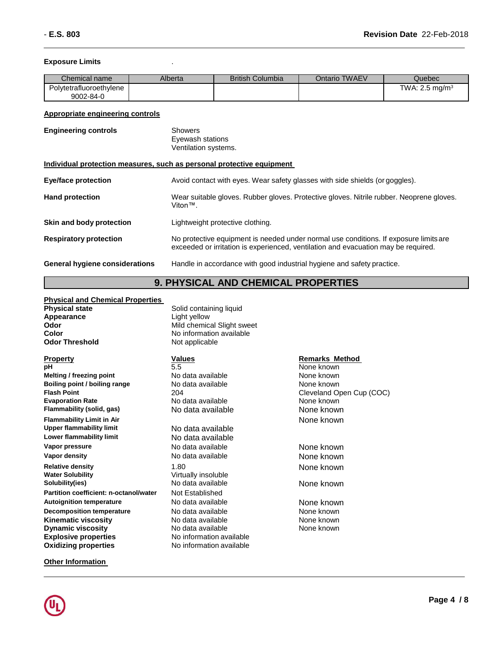#### **Exposure Limits** .

| Chemical name           | Alberta | <b>British Columbia</b> | Ontario TWAEV | Quebec                    |
|-------------------------|---------|-------------------------|---------------|---------------------------|
| Polytetrafluoroethylene |         |                         |               | TWA: $2.5 \text{ mg/m}^3$ |
| 9002-84-0               |         |                         |               |                           |

#### **Appropriate engineering controls**

| <b>Engineering controls</b>    | Showers<br>Eyewash stations<br>Ventilation systems.                                                                                                                         |
|--------------------------------|-----------------------------------------------------------------------------------------------------------------------------------------------------------------------------|
|                                | Individual protection measures, such as personal protective equipment                                                                                                       |
| Eye/face protection            | Avoid contact with eyes. Wear safety glasses with side shields (or goggles).                                                                                                |
| <b>Hand protection</b>         | Wear suitable gloves. Rubber gloves. Protective gloves. Nitrile rubber. Neoprene gloves.<br>Viton™.                                                                         |
| Skin and body protection       | Lightweight protective clothing.                                                                                                                                            |
| <b>Respiratory protection</b>  | No protective equipment is needed under normal use conditions. If exposure limits are<br>exceeded or irritation is experienced, ventilation and evacuation may be required. |
| General hygiene considerations | Handle in accordance with good industrial hygiene and safety practice.                                                                                                      |

### **9. PHYSICAL AND CHEMICAL PROPERTIES**

#### **Physical and Chemical Properties**

| Physical state |  |
|----------------|--|
| Appearance     |  |
| Odor           |  |
| Color          |  |
| Odor Threshold |  |

**Property Remarks** Method **Values Property Remarks** Method **pH Remarks** Method **pH** 5.5 None known **Melting / freezing point No data available** None **None known Boiling point / boiling range**  $\begin{array}{c} \text{No data available} \\ \text{Flash Point} \end{array}$  **None known Flash Point Flash Point**<br> **Evaporation Rate**<br> **Evaporation Rate**<br> **Note that Available**<br> **Evaporation Rate**<br> **Note known Flammability (solid, gas)** No data available None known **Flammability Limit in Air** None known **Upper flammability limit**<br>**Lower flammability limit Vapor pressure No data available None known**<br> **Vapor density None known**<br>
None known **Relative density**<br> **Water Solubility**<br> **Water Solubility**<br> **Water Solubility**<br> **Water Solubility Water Solubility**<br> **Solubility(ies)**<br> **Solubility(ies)**<br> **No data available Partition coefficient: n-octanol/water** Autoignition *temperature* **No data available None known Decomposition temperature** No data available None known **Kinematic viscosity No data available None known Dynamic viscosity**<br> **Explosive properties**<br>
No information available<br>
No information available **Explosive properties Oxidizing properties** No information available

**Solid containing liquid Light yellow Mild chemical Slight sweet No information available Not applicable** 

**No data available** 

**No data available None known** 

**No data available None known** 

No data available **None known**<br>Not Established

**Other Information** 

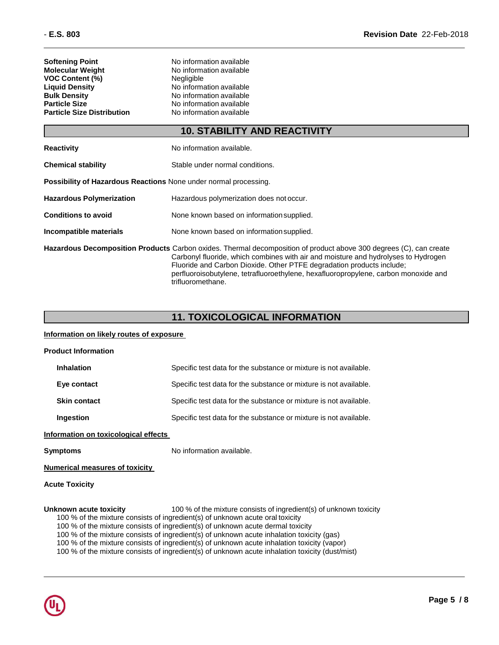| <b>Softening Point</b>            | No information available |
|-----------------------------------|--------------------------|
| <b>Molecular Weight</b>           | No information available |
| <b>VOC Content (%)</b>            | Negligible               |
| <b>Liquid Density</b>             | No information available |
| <b>Bulk Density</b>               | No information available |
| <b>Particle Size</b>              | No information available |
| <b>Particle Size Distribution</b> | No information available |
|                                   |                          |

### **10. STABILITY AND REACTIVITY**

| <b>Reactivity</b>                                                                                                                                                                                                                                                                                                                                                                                    | No information available.                 |  |
|------------------------------------------------------------------------------------------------------------------------------------------------------------------------------------------------------------------------------------------------------------------------------------------------------------------------------------------------------------------------------------------------------|-------------------------------------------|--|
| <b>Chemical stability</b>                                                                                                                                                                                                                                                                                                                                                                            | Stable under normal conditions.           |  |
| <b>Possibility of Hazardous Reactions None under normal processing.</b>                                                                                                                                                                                                                                                                                                                              |                                           |  |
| <b>Hazardous Polymerization</b>                                                                                                                                                                                                                                                                                                                                                                      | Hazardous polymerization does not occur.  |  |
| <b>Conditions to avoid</b>                                                                                                                                                                                                                                                                                                                                                                           | None known based on information supplied. |  |
| Incompatible materials                                                                                                                                                                                                                                                                                                                                                                               | None known based on information supplied. |  |
| <b>Hazardous Decomposition Products</b> Carbon oxides. Thermal decomposition of product above 300 degrees (C), can create<br>Carbonyl fluoride, which combines with air and moisture and hydrolyses to Hydrogen<br>Fluoride and Carbon Dioxide. Other PTFE degradation products include;<br>perfluoroisobutylene, tetrafluoroethylene, hexafluoropropylene, carbon monoxide and<br>trifluoromethane. |                                           |  |

### **11. TOXICOLOGICAL INFORMATION**

#### **Information on likely routes of exposure**

| <b>Product Information</b>           |                                                                   |
|--------------------------------------|-------------------------------------------------------------------|
| Inhalation                           | Specific test data for the substance or mixture is not available. |
| Eye contact                          | Specific test data for the substance or mixture is not available. |
| <b>Skin contact</b>                  | Specific test data for the substance or mixture is not available. |
| Ingestion                            | Specific test data for the substance or mixture is not available. |
| Information on toxicological effects |                                                                   |
| <b>Symptoms</b>                      | No information available.                                         |

#### **Numerical measures of toxicity**

**Acute Toxicity**

#### **Unknown acute toxicity** 100 % of the mixture consists of ingredient(s) of unknown toxicity

- 100 % of the mixture consists of ingredient(s) of unknown acute oral toxicity
- 100 % of the mixture consists of ingredient(s) of unknown acute dermal toxicity
- 100 % of the mixture consists of ingredient(s) of unknown acute inhalation toxicity (gas)
- 100 % of the mixture consists of ingredient(s) of unknown acute inhalation toxicity (vapor)
- 100 % of the mixture consists of ingredient(s) of unknown acute inhalation toxicity (dust/mist)

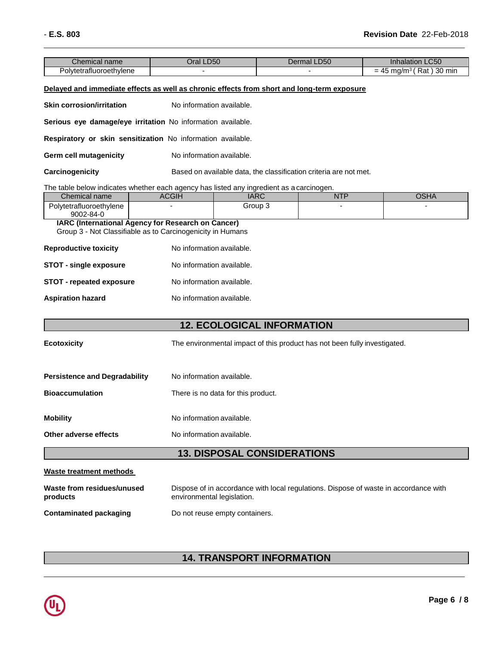| $\sim$<br>Chemical name           | LD50<br>)ral | <b>D50</b><br>Dermal | $\sim$ $\sim$ $\sim$<br>Inhalation<br><b>LC50</b> |
|-----------------------------------|--------------|----------------------|---------------------------------------------------|
| . .<br>rafluoroethvlene<br>OIVTAT |              |                      | 30<br>Rat<br>min<br>' mg/m∘ د،<br>-<br>-          |

#### **Delayed and immediate effects as well as chronic effects from short and long-term exposure**

**Skin corrosion/irritation** No information available.

**Serious eye damage/eye irritation** No information available.

**Respiratory or skin sensitization** No information available.

**Germ cell mutagenicity** No information available.

**Carcinogenicity** Based on available data, the classification criteria are not met.

#### The table below indicates whether each agency has listed any ingredient as a carcinogen.

| Chemical name                   | <b>ACGIH</b> | $\sqrt{2}$<br>IANU | <b>NITF</b> | 00111<br>חו וטי |
|---------------------------------|--------------|--------------------|-------------|-----------------|
| Polvtetrafluoroethvlene         |              | Group 3            |             |                 |
| 9002-84-0                       |              |                    |             |                 |
| $\cdots$ $\cdots$<br>. .<br>. . | _            | -                  |             |                 |

#### **IARC (International Agency for Research on Cancer)** Group 3 - Not Classifiable as to Carcinogenicity in Humans

| <b>Reproductive toxicity</b>    | No information available. |
|---------------------------------|---------------------------|
| <b>STOT - single exposure</b>   | No information available. |
| <b>STOT - repeated exposure</b> | No information available. |
| <b>Aspiration hazard</b>        | No information available. |

### **12. ECOLOGICAL INFORMATION**

| The environmental impact of this product has not been fully investigated. |
|---------------------------------------------------------------------------|
|                                                                           |

| <b>Persistence and Degradability</b> | No information available.          |
|--------------------------------------|------------------------------------|
| <b>Bioaccumulation</b>               | There is no data for this product. |
| <b>Mobility</b>                      | No information available.          |
| Other adverse effects                | No information available.          |

### **13. DISPOSAL CONSIDERATIONS**

#### **Waste treatment methods**

**Ecotoxicity** 

| Waste from residues/unused    | Dispose of in accordance with local regulations. Dispose of waste in accordance with |
|-------------------------------|--------------------------------------------------------------------------------------|
| products                      | environmental legislation.                                                           |
| <b>Contaminated packaging</b> | Do not reuse empty containers.                                                       |

### **14. TRANSPORT INFORMATION**

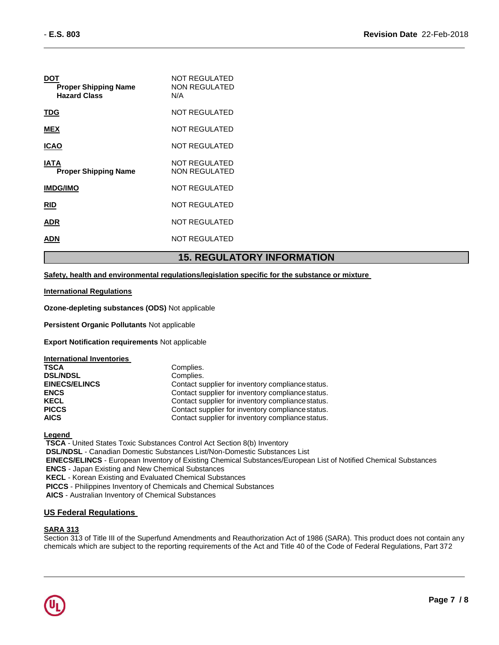| DOT<br><b>Proper Shipping Name</b><br><b>Hazard Class</b> | NOT REGULATED<br><b>NON REGULATED</b><br>N/A |
|-----------------------------------------------------------|----------------------------------------------|
| TDG                                                       | NOT REGULATED                                |
| <b>MEX</b>                                                | NOT REGULATED                                |
| <b>ICAO</b>                                               | NOT REGULATED                                |
| IATA<br><b>Proper Shipping Name</b>                       | NOT REGULATED<br>NON REGULATED               |
| <b>IMDG/IMO</b>                                           | NOT REGULATED                                |
| <b>RID</b>                                                | NOT REGULATED                                |
| ADR                                                       | NOT REGULATED                                |
| ADN                                                       | NOT REGULATED                                |

### **15. REGULATORY INFORMATION**

#### **Safety, health and environmental regulations/legislation specific for the substance or mixture**

#### **International Regulations**

**Ozone-depleting substances (ODS)** Not applicable

**Persistent Organic Pollutants** Not applicable

**Export Notification requirements** Not applicable

| Complies.                                         |
|---------------------------------------------------|
| Complies.                                         |
| Contact supplier for inventory compliance status. |
| Contact supplier for inventory compliance status. |
| Contact supplier for inventory compliance status. |
| Contact supplier for inventory compliance status. |
| Contact supplier for inventory compliance status. |
|                                                   |

#### **Legend**

**TSCA** - United States Toxic Substances Control Act Section 8(b) Inventory **DSL/NDSL** - Canadian Domestic Substances List/Non-Domestic Substances List **EINECS/ELINCS** - European Inventory of Existing Chemical Substances/European List of Notified Chemical Substances **ENCS** - Japan Existing and New Chemical Substances **KECL** - Korean Existing and Evaluated Chemical Substances **PICCS** - Philippines Inventory of Chemicals and Chemical Substances

**AICS** - Australian Inventory of Chemical Substances

#### **US Federal Regulations**

#### **SARA 313**

Section 313 of Title III of the Superfund Amendments and Reauthorization Act of 1986 (SARA). This product does not contain any chemicals which are subject to the reporting requirements of the Act and Title 40 of the Code of Federal Regulations, Part 372